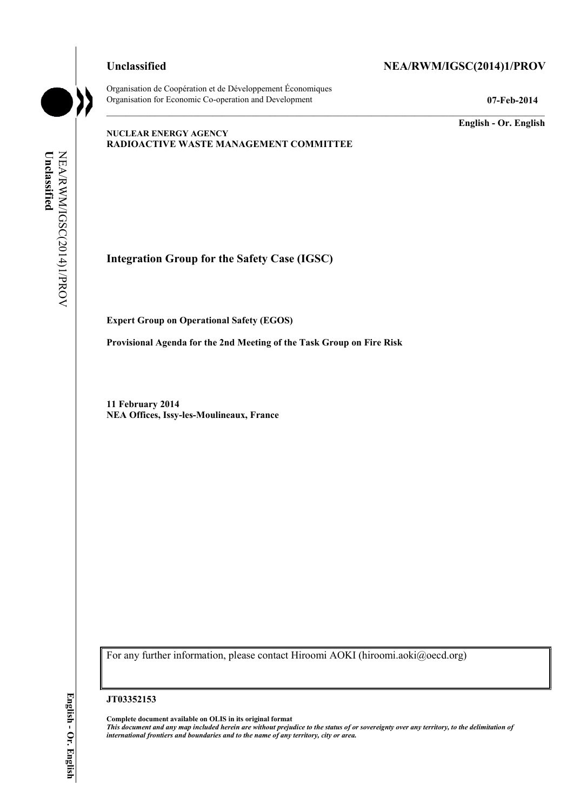Organisation de Coopération et de Développement Économiques Organisation for Economic Co-operation and Development **07-Feb-2014** 

### Unclassified NEA/RWM/IGSC(2014)1/PROV

 $\mathcal{L}_\mathcal{L} = \mathcal{L}_\mathcal{L}$ 

**English - Or. English** 

#### **NUCLEAR ENERGY AGENCY RADIOACTIVE WASTE MANAGEMENT COMMITTEE**

**Integration Group for the Safety Case (IGSC)** 

**Expert Group on Operational Safety (EGOS)** 

**Provisional Agenda for the 2nd Meeting of the Task Group on Fire Risk** 

**11 February 2014 NEA Offices, Issy-les-Moulineaux, France** 

For any further information, please contact Hiroomi AOKI (hiroomi.aoki@oecd.org)

#### **JT03352153**

**Complete document available on OLIS in its original format** *This document and any map included herein are without prejudice to the status of or sovereignty over any territory, to the delimitation of international frontiers and boundaries and to the name of any territory, city or area.*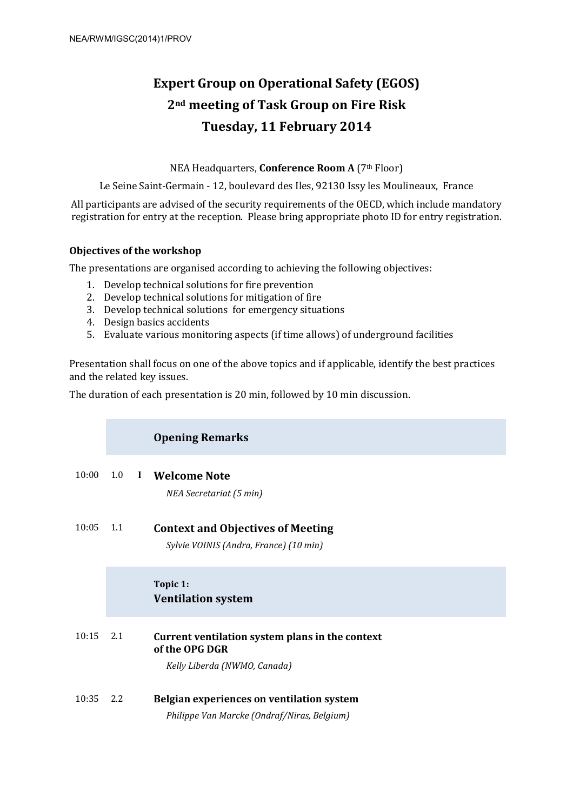# **Expert Group on Operational Safety (EGOS) 2nd meeting of Task Group on Fire Risk Tuesday, 11 February 2014**

NEA Headquarters, **Conference Room A** (7th Floor)

Le Seine Saint-Germain - 12, boulevard des Iles, 92130 Issy les Moulineaux, France

All participants are advised of the security requirements of the OECD, which include mandatory registration for entry at the reception. Please bring appropriate photo ID for entry registration.

#### **Objectives of the workshop**

The presentations are organised according to achieving the following objectives:

- 1. Develop technical solutions for fire prevention
- 2. Develop technical solutions for mitigation of fire
- 3. Develop technical solutions for emergency situations
- 4. Design basics accidents
- 5. Evaluate various monitoring aspects (if time allows) of underground facilities

Presentation shall focus on one of the above topics and if applicable, identify the best practices and the related key issues.

The duration of each presentation is 20 min, followed by 10 min discussion.

|       |     |          | <b>Opening Remarks</b>                                                                            |
|-------|-----|----------|---------------------------------------------------------------------------------------------------|
| 10:00 | 1.0 | $\bf{I}$ | <b>Welcome Note</b><br>NEA Secretariat (5 min)                                                    |
| 10:05 | 1.1 |          | <b>Context and Objectives of Meeting</b><br>Sylvie VOINIS (Andra, France) (10 min)                |
|       |     |          | Topic 1:<br><b>Ventilation system</b>                                                             |
| 10:15 | 2.1 |          | Current ventilation system plans in the context<br>of the OPG DGR<br>Kelly Liberda (NWMO, Canada) |
| 10:35 | 2.2 |          | Belgian experiences on ventilation system<br>Philippe Van Marcke (Ondraf/Niras, Belgium)          |